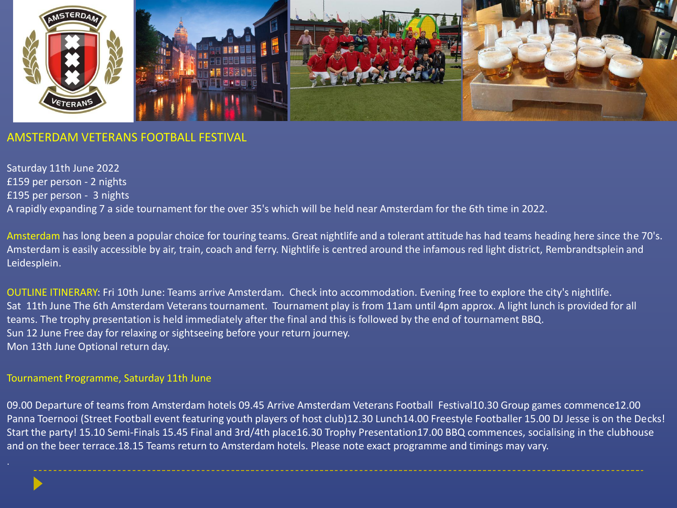

## AMSTERDAM VETERANS FOOTBALL FESTIVAL

Saturday 11th June 2022 £159 per person - 2 nights £195 per person - 3 nights A rapidly expanding 7 a side tournament for the over 35's which will be held near Amsterdam for the 6th time in 2022.

Amsterdam has long been a popular choice for touring teams. Great nightlife and a tolerant attitude has had teams heading here since the 70's. Amsterdam is easily accessible by air, train, coach and ferry. Nightlife is centred around the infamous red light district, Rembrandtsplein and Leidesplein.

OUTLINE ITINERARY: Fri 10th June: Teams arrive Amsterdam. Check into accommodation. Evening free to explore the city's nightlife. Sat 11th June The 6th Amsterdam Veterans tournament. Tournament play is from 11am until 4pm approx. A light lunch is provided for all teams. The trophy presentation is held immediately after the final and this is followed by the end of tournament BBQ. Sun 12 June Free day for relaxing or sightseeing before your return journey. Mon 13th June Optional return day.

#### Tournament Programme, Saturday 11th June

09.00 Departure of teams from Amsterdam hotels 09.45 Arrive Amsterdam Veterans Football Festival10.30 Group games commence12.00 Panna Toernooi (Street Football event featuring youth players of host club)12.30 Lunch14.00 Freestyle Footballer 15.00 DJ Jesse is on the Decks! Start the party! 15.10 Semi-Finals 15.45 Final and 3rd/4th place16.30 Trophy Presentation17.00 BBQ commences, socialising in the clubhouse and on the beer terrace.18.15 Teams return to Amsterdam hotels. Please note exact programme and timings may vary.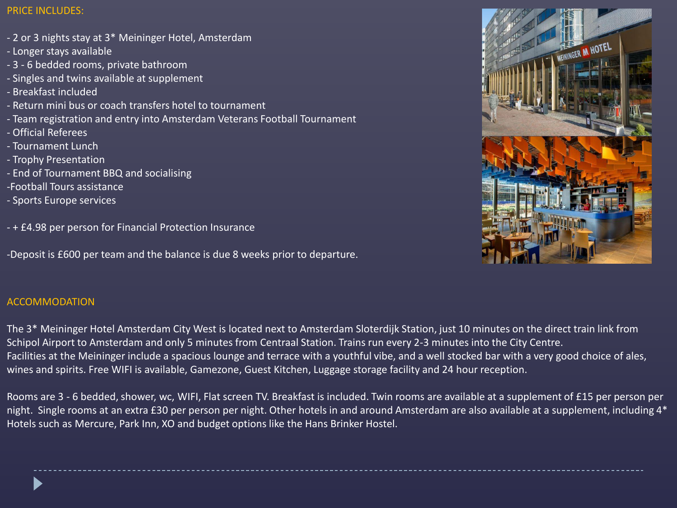## PRICE INCLUDES:

- 2 or 3 nights stay at 3\* Meininger Hotel, Amsterdam
- Longer stays available
- 3 6 bedded rooms, private bathroom
- Singles and twins available at supplement
- Breakfast included
- Return mini bus or coach transfers hotel to tournament
- Team registration and entry into Amsterdam Veterans Football Tournament
- Official Referees
- Tournament Lunch
- Trophy Presentation
- End of Tournament BBQ and socialising
- -Football Tours assistance
- Sports Europe services
- + £4.98 per person for Financial Protection Insurance

-Deposit is £600 per team and the balance is due 8 weeks prior to departure.

# ACCOMMODATION

The 3\* Meininger Hotel Amsterdam City West is located next to Amsterdam Sloterdijk Station, just 10 minutes on the direct train link from Schipol Airport to Amsterdam and only 5 minutes from Centraal Station. Trains run every 2-3 minutes into the City Centre. Facilities at the Meininger include a spacious lounge and terrace with a youthful vibe, and a well stocked bar with a very good choice of ales, wines and spirits. Free WIFI is available, Gamezone, Guest Kitchen, Luggage storage facility and 24 hour reception.

Rooms are 3 - 6 bedded, shower, wc, WIFI, Flat screen TV. Breakfast is included. Twin rooms are available at a supplement of £15 per person per night. Single rooms at an extra £30 per person per night. Other hotels in and around Amsterdam are also available at a supplement, including 4\* Hotels such as Mercure, Park Inn, XO and budget options like the Hans Brinker Hostel.